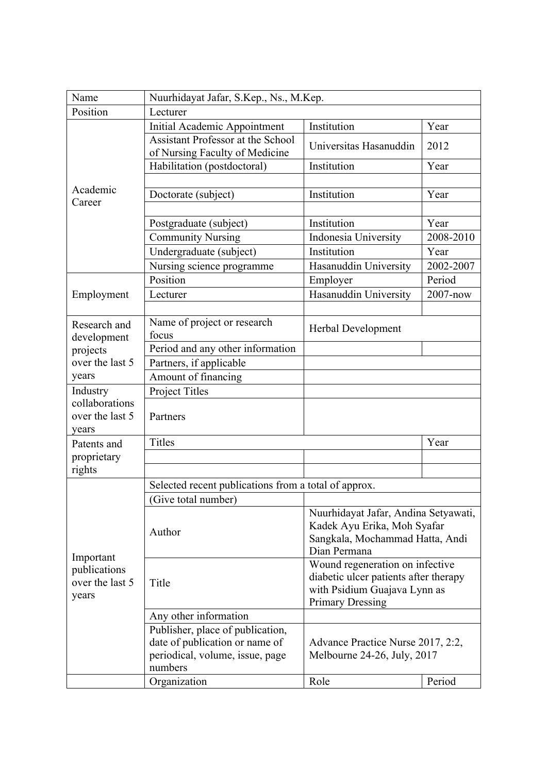| Name                                                  | Nuurhidayat Jafar, S.Kep., Ns., M.Kep.                                                                           |                                                                                                                                     |           |  |
|-------------------------------------------------------|------------------------------------------------------------------------------------------------------------------|-------------------------------------------------------------------------------------------------------------------------------------|-----------|--|
| Position                                              | Lecturer                                                                                                         |                                                                                                                                     |           |  |
| Academic<br>Career                                    | Initial Academic Appointment                                                                                     | Institution                                                                                                                         | Year      |  |
|                                                       | <b>Assistant Professor at the School</b><br>of Nursing Faculty of Medicine                                       | Universitas Hasanuddin                                                                                                              | 2012      |  |
|                                                       | Habilitation (postdoctoral)                                                                                      | Institution                                                                                                                         | Year      |  |
|                                                       |                                                                                                                  |                                                                                                                                     |           |  |
|                                                       | Doctorate (subject)                                                                                              | Institution                                                                                                                         | Year      |  |
|                                                       |                                                                                                                  |                                                                                                                                     |           |  |
|                                                       | Postgraduate (subject)                                                                                           | Institution                                                                                                                         | Year      |  |
|                                                       | <b>Community Nursing</b>                                                                                         | Indonesia University                                                                                                                | 2008-2010 |  |
|                                                       | Undergraduate (subject)                                                                                          | Institution                                                                                                                         | Year      |  |
|                                                       | Nursing science programme                                                                                        | Hasanuddin University                                                                                                               | 2002-2007 |  |
|                                                       | Position                                                                                                         | Employer                                                                                                                            | Period    |  |
| Employment                                            | Lecturer                                                                                                         | Hasanuddin University                                                                                                               | 2007-now  |  |
|                                                       |                                                                                                                  |                                                                                                                                     |           |  |
| Research and                                          | Name of project or research<br>focus                                                                             | Herbal Development                                                                                                                  |           |  |
| development                                           | Period and any other information                                                                                 |                                                                                                                                     |           |  |
| projects<br>over the last 5                           | Partners, if applicable                                                                                          |                                                                                                                                     |           |  |
| years                                                 | Amount of financing                                                                                              |                                                                                                                                     |           |  |
| Industry                                              | Project Titles                                                                                                   |                                                                                                                                     |           |  |
| collaborations                                        |                                                                                                                  |                                                                                                                                     |           |  |
| over the last 5                                       | Partners                                                                                                         |                                                                                                                                     |           |  |
| years                                                 |                                                                                                                  |                                                                                                                                     |           |  |
| Patents and                                           | <b>Titles</b>                                                                                                    |                                                                                                                                     | Year      |  |
| proprietary                                           |                                                                                                                  |                                                                                                                                     |           |  |
| rights                                                |                                                                                                                  |                                                                                                                                     |           |  |
|                                                       | Selected recent publications from a total of approx.                                                             |                                                                                                                                     |           |  |
| Important<br>publications<br>over the last 5<br>years | (Give total number)                                                                                              |                                                                                                                                     |           |  |
|                                                       | Author                                                                                                           | Nuurhidayat Jafar, Andina Setyawati,<br>Kadek Ayu Erika, Moh Syafar<br>Sangkala, Mochammad Hatta, Andi<br>Dian Permana              |           |  |
|                                                       | Title                                                                                                            | Wound regeneration on infective<br>diabetic ulcer patients after therapy<br>with Psidium Guajava Lynn as<br><b>Primary Dressing</b> |           |  |
|                                                       | Any other information                                                                                            |                                                                                                                                     |           |  |
|                                                       | Publisher, place of publication,<br>date of publication or name of<br>periodical, volume, issue, page<br>numbers | Advance Practice Nurse 2017, 2:2,<br>Melbourne 24-26, July, 2017                                                                    |           |  |
|                                                       | Organization                                                                                                     | Role                                                                                                                                | Period    |  |